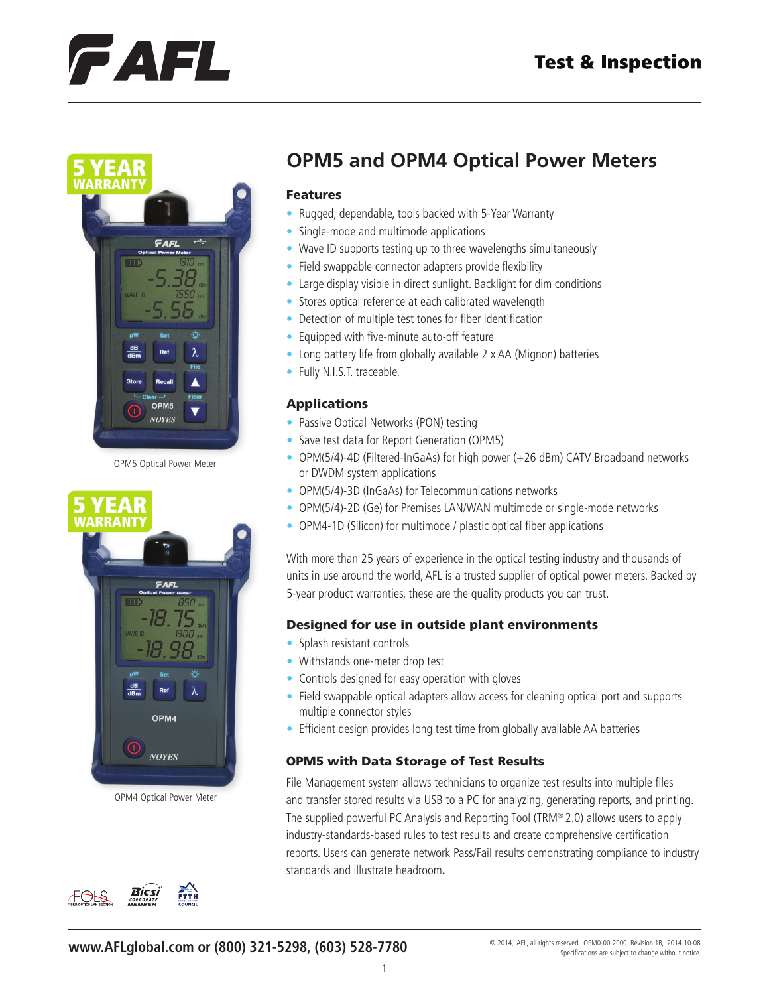## **Test & Inspection**

# FAFL



OPM5 Optical Power Meter



OPM4 Optical Power Meter



## **OPM5 and OPM4 Optical Power Meters**

#### Features

- Rugged, dependable, tools backed with 5-Year Warranty
- Single-mode and multimode applications
- Wave ID supports testing up to three wavelengths simultaneously
- Field swappable connector adapters provide flexibility
- Large display visible in direct sunlight. Backlight for dim conditions
- Stores optical reference at each calibrated wavelength
- Detection of multiple test tones for fiber identification
- Equipped with five-minute auto-off feature
- Long battery life from globally available 2 x AA (Mignon) batteries
- Fully N.I.S.T. traceable.

### Applications

- Passive Optical Networks (PON) testing
- Save test data for Report Generation (OPM5)
- OPM(5/4)-4D (Filtered-InGaAs) for high power (+26 dBm) CATV Broadband networks or DWDM system applications
- OPM(5/4)-3D (InGaAs) for Telecommunications networks
- OPM(5/4)-2D (Ge) for Premises LAN/WAN multimode or single-mode networks
- OPM4-1D (Silicon) for multimode / plastic optical fiber applications

With more than 25 years of experience in the optical testing industry and thousands of units in use around the world, AFL is a trusted supplier of optical power meters. Backed by 5-year product warranties, these are the quality products you can trust.

## Designed for use in outside plant environments

- Splash resistant controls
- Withstands one-meter drop test
- Controls designed for easy operation with gloves
- Field swappable optical adapters allow access for cleaning optical port and supports multiple connector styles
- Efficient design provides long test time from globally available AA batteries

## OPM5 with Data Storage of Test Results

File Management system allows technicians to organize test results into multiple files and transfer stored results via USB to a PC for analyzing, generating reports, and printing. The supplied powerful PC Analysis and Reporting Tool (TRM® 2.0) allows users to apply industry-standards-based rules to test results and create comprehensive certification reports. Users can generate network Pass/Fail results demonstrating compliance to industry standards and illustrate headroom**.**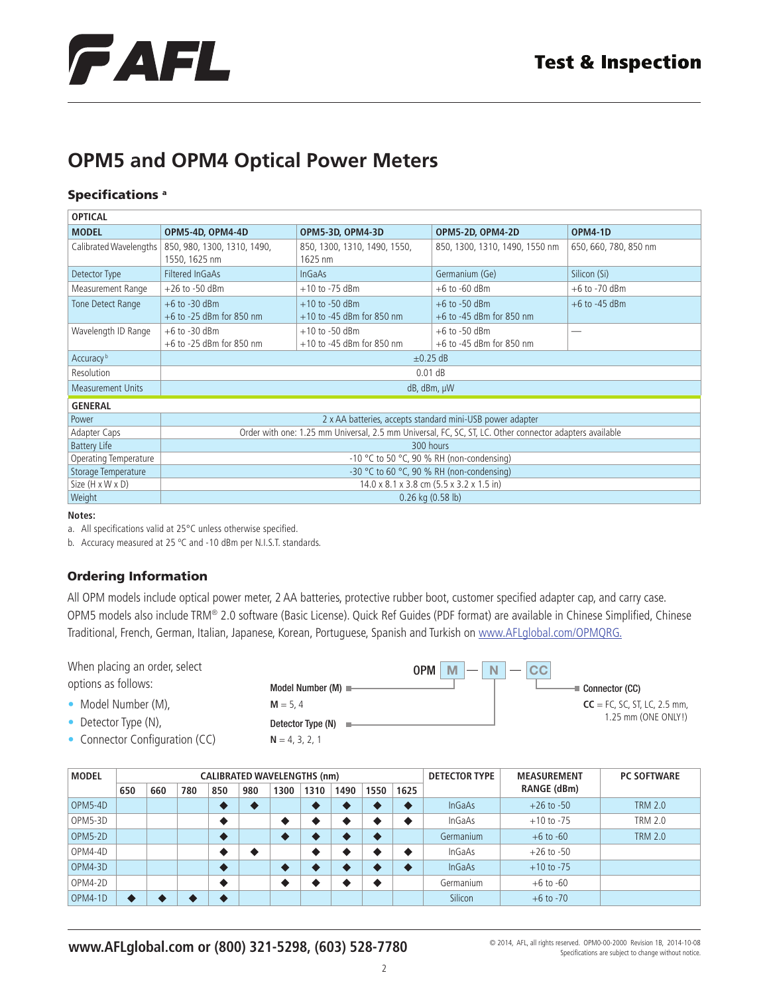

## **OPM5 and OPM4 Optical Power Meters**

### Specifications<sup>a</sup>

| <b>OPTICAL</b>           |                                                                                                         |                                                   |                                                 |                       |  |  |  |  |  |
|--------------------------|---------------------------------------------------------------------------------------------------------|---------------------------------------------------|-------------------------------------------------|-----------------------|--|--|--|--|--|
| <b>MODEL</b>             | OPM5-4D, OPM4-4D                                                                                        | OPM5-3D, OPM4-3D                                  | OPM5-2D, OPM4-2D                                | <b>OPM4-1D</b>        |  |  |  |  |  |
| Calibrated Wavelengths   | 850, 980, 1300, 1310, 1490,<br>1550, 1625 nm                                                            | 850, 1300, 1310, 1490, 1550,<br>1625 nm           | 850, 1300, 1310, 1490, 1550 nm                  | 650, 660, 780, 850 nm |  |  |  |  |  |
| Detector Type            | Filtered InGaAs                                                                                         | <b>InGaAs</b>                                     | Germanium (Ge)                                  | Silicon (Si)          |  |  |  |  |  |
| Measurement Range        | $+26$ to $-50$ dBm                                                                                      | $+10$ to -75 dBm                                  | $+6$ to $-60$ dBm                               | $+6$ to $-70$ dBm     |  |  |  |  |  |
| Tone Detect Range        | $+6$ to $-30$ dBm<br>$+6$ to -25 dBm for 850 nm                                                         | $+10$ to $-50$ dBm<br>$+10$ to -45 dBm for 850 nm | $+6$ to $-50$ dBm<br>$+6$ to -45 dBm for 850 nm | $+6$ to $-45$ dBm     |  |  |  |  |  |
| Wavelength ID Range      | $+6$ to $-30$ dBm<br>$+6$ to -25 dBm for 850 nm                                                         | $+10$ to $-50$ dBm<br>$+10$ to -45 dBm for 850 nm | $+6$ to $-50$ dBm<br>$+6$ to -45 dBm for 850 nm |                       |  |  |  |  |  |
| Accuracy <sup>b</sup>    | $\pm$ 0.25 dB                                                                                           |                                                   |                                                 |                       |  |  |  |  |  |
| Resolution               | $0.01$ dB                                                                                               |                                                   |                                                 |                       |  |  |  |  |  |
| <b>Measurement Units</b> | dB, dBm, µW                                                                                             |                                                   |                                                 |                       |  |  |  |  |  |
| <b>GENERAL</b>           |                                                                                                         |                                                   |                                                 |                       |  |  |  |  |  |
| Power                    | 2 x AA batteries, accepts standard mini-USB power adapter                                               |                                                   |                                                 |                       |  |  |  |  |  |
| Adapter Caps             | Order with one: 1.25 mm Universal, 2.5 mm Universal, FC, SC, ST, LC. Other connector adapters available |                                                   |                                                 |                       |  |  |  |  |  |
| <b>Battery Life</b>      | 300 hours                                                                                               |                                                   |                                                 |                       |  |  |  |  |  |
| Operating Temperature    | -10 °C to 50 °C, 90 % RH (non-condensing)                                                               |                                                   |                                                 |                       |  |  |  |  |  |
| Storage Temperature      | $-30$ °C to 60 °C, 90 % RH (non-condensing)                                                             |                                                   |                                                 |                       |  |  |  |  |  |
| Size (H x W x D)         | 14.0 x 8.1 x 3.8 cm (5.5 x 3.2 x 1.5 in)                                                                |                                                   |                                                 |                       |  |  |  |  |  |
| Weight                   | $0.26$ kg $(0.58$ lb)                                                                                   |                                                   |                                                 |                       |  |  |  |  |  |

#### **Notes:**

a. All specifications valid at 25°C unless otherwise specified.

b. Accuracy measured at 25 ºC and -10 dBm per N.I.S.T. standards.

## Ordering Information

All OPM models include optical power meter, 2 AA batteries, protective rubber boot, customer specified adapter cap, and carry case. OPM5 models also include TRM® 2.0 software (Basic License). Quick Ref Guides (PDF format) are available in Chinese Simplified, Chinese Traditional, French, German, Italian, Japanese, Korean, Portuguese, Spanish and Turkish on<www.AFLglobal.com/OPMQRG>.

When placing an order, select options as follows:

- Model Number (M),
- Detector Type (N),
- Connector Configuration (CC)

Detector Type (N) = **N** = 4, 3, 2, 1



| <b>MODEL</b> | <b>CALIBRATED WAVELENGTHS (nm)</b> |     |     |     |     |      |      |      |      | <b>DETECTOR TYPE</b> | <b>MEASUREMENT</b> | <b>PC SOFTWARE</b> |                |
|--------------|------------------------------------|-----|-----|-----|-----|------|------|------|------|----------------------|--------------------|--------------------|----------------|
|              | 650                                | 660 | 780 | 850 | 980 | 1300 | 1310 | 1490 | 1550 | 1625                 |                    | RANGE (dBm)        |                |
| OPM5-4D      |                                    |     |     |     |     |      |      |      |      |                      | <b>InGaAs</b>      | $+26$ to $-50$     | <b>TRM 2.0</b> |
| OPM5-3D      |                                    |     |     |     |     |      |      |      |      |                      | InGaAs             | $+10$ to $-75$     | TRM 2.0        |
| OPM5-2D      |                                    |     |     |     |     |      |      |      |      |                      | Germanium          | $+6$ to $-60$      | <b>TRM 2.0</b> |
| OPM4-4D      |                                    |     |     |     |     |      |      |      |      |                      | InGaAs             | $+26$ to $-50$     |                |
| OPM4-3D      |                                    |     |     |     |     |      |      |      |      |                      | <b>InGaAs</b>      | $+10$ to $-75$     |                |
| OPM4-2D      |                                    |     |     |     |     |      |      |      |      |                      | Germanium          | $+6$ to $-60$      |                |
| OPM4-1D      |                                    |     |     |     |     |      |      |      |      |                      | Silicon            | $+6$ to $-70$      |                |